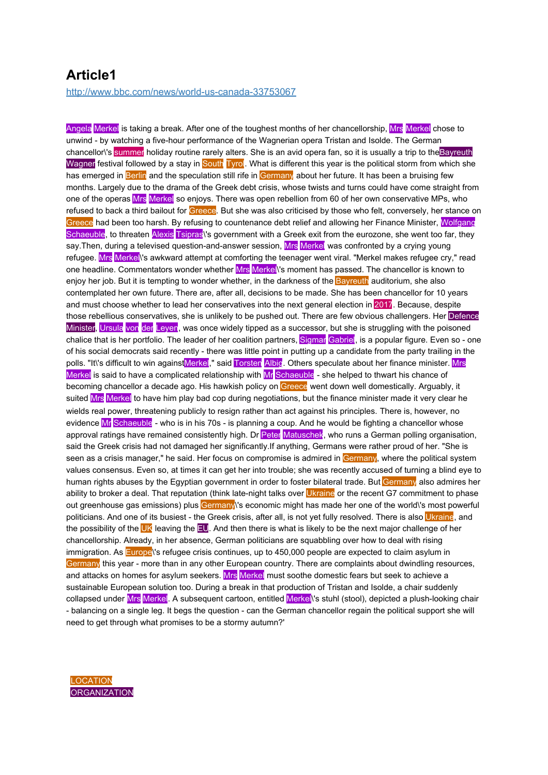## **Article1**

http://www.bbc.com/news/world-us-canada-33753067

Angela Merkel is taking a break. After one of the toughest months of her chancellorship, Mrs Merkel chose to unwind - by watching a five-hour performance of the Wagnerian opera Tristan and Isolde. The German chancellor\'s summer holiday routine rarely alters. She is an avid opera fan, so it is usually a trip to the Bayreuth Wagner festival followed by a stay in South Tyrol. What is different this year is the political storm from which she has emerged in Berlin and the speculation still rife in Germany about her future. It has been a bruising few months. Largely due to the drama of the Greek debt crisis, whose twists and turns could have come straight from one of the operas Mrs Merkel so enjoys. There was open rebellion from 60 of her own conservative MPs, who refused to back a third bailout for Greece. But she was also criticised by those who felt, conversely, her stance on Greece had been too harsh. By refusing to countenance debt relief and allowing her Finance Minister, Wolfgang Schaeuble, to threaten Alexis Tsipras's government with a Greek exit from the eurozone, she went too far, they say. Then, during a televised question-and-answer session, Mrs Merkel was confronted by a crying young refugee. Mrs Merkel\'s awkward attempt at comforting the teenager went viral. "Merkel makes refugee cry," read one headline. Commentators wonder whether Mrs Merkel<sup>l's</sup> moment has passed. The chancellor is known to enjoy her job. But it is tempting to wonder whether, in the darkness of the **Bayreuth** auditorium, she also contemplated her own future. There are, after all, decisions to be made. She has been chancellor for 10 years and must choose whether to lead her conservatives into the next general election in 2017. Because, despite those rebellious conservatives, she is unlikely to be pushed out. There are few obvious challengers. Her Defence Minister, Ursula von der Leyen, was once widely tipped as a successor, but she is struggling with the poisoned chalice that is her portfolio. The leader of her coalition partners, Sigmar Gabriel, is a popular figure. Even so - one of his social democrats said recently - there was little point in putting up a candidate from the party trailing in the polls. "It\'s difficult to win againstMerkel," said Torsten Albig. Others speculate about her finance minister. Mrs Merkel is said to have a complicated relationship with Mr Schaeuble - she helped to thwart his chance of becoming chancellor a decade ago. His hawkish policy on Greece went down well domestically. Arguably, it suited Mrs Merkel to have him play bad cop during negotiations, but the finance minister made it very clear he wields real power, threatening publicly to resign rather than act against his principles. There is, however, no evidence Mr Schaeuble - who is in his 70s - is planning a coup. And he would be fighting a chancellor whose approval ratings have remained consistently high. Dr Peter Matuschek, who runs a German polling organisation, said the Greek crisis had not damaged her significantly.If anything, Germans were rather proud of her. "She is seen as a crisis manager," he said. Her focus on compromise is admired in Germany, where the political system values consensus. Even so, at times it can get her into trouble; she was recently accused of turning a blind eye to human rights abuses by the Egyptian government in order to foster bilateral trade. But Germany also admires her ability to broker a deal. That reputation (think late-night talks over Ukraine or the recent G7 commitment to phase out greenhouse gas emissions) plus Germany's economic might has made her one of the world's most powerful politicians. And one of its busiest - the Greek crisis, after all, is not yet fully resolved. There is also Ukraine, and the possibility of the UK leaving the EU. And then there is what is likely to be the next major challenge of her chancellorship. Already, in her absence, German politicians are squabbling over how to deal with rising immigration. As **Europe**\'s refugee crisis continues, up to 450,000 people are expected to claim asylum in Germany this year - more than in any other European country. There are complaints about dwindling resources, and attacks on homes for asylum seekers. Mrs Merkel must soothe domestic fears but seek to achieve a sustainable European solution too. During a break in that production of Tristan and Isolde, a chair suddenly collapsed under Mrs Merkel. A subsequent cartoon, entitled Merkell's stuhl (stool), depicted a plush-looking chair - balancing on a single leg. It begs the question - can the German chancellor regain the political support she will need to get through what promises to be a stormy autumn?'

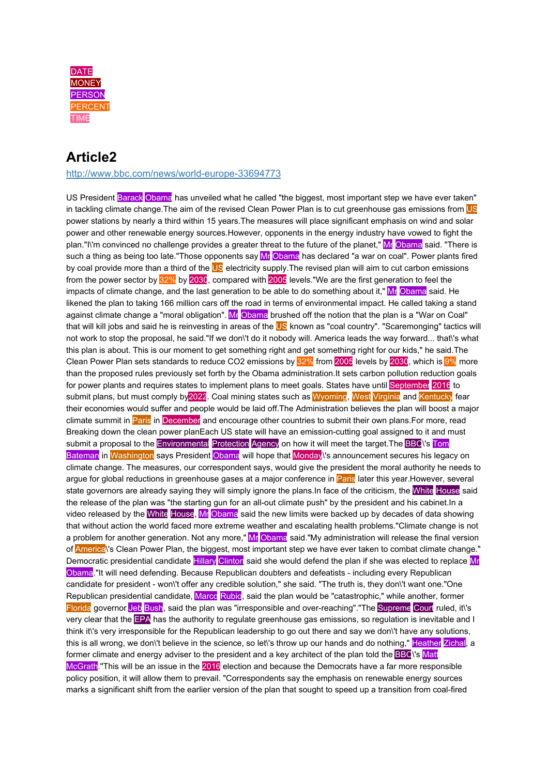

## **Article2**

<http://www.bbc.com/news/world-europe-33694773>

US President Barack Obama has unveiled what he called "the biggest, most important step we have ever taken" in tackling climate change. The aim of the revised Clean Power Plan is to cut greenhouse gas emissions from US power stations by nearly a third within 15 years.The measures will place significant emphasis on wind and solar power and other renewable energy sources.However, opponents in the energy industry have vowed to fight the plan."I\'m convinced no challenge provides a greater threat to the future of the planet," Mr Obama said. "There is such a thing as being too late."Those opponents say Mr Obama has declared "a war on coal". Power plants fired by coal provide more than a third of the US electricity supply. The revised plan will aim to cut carbon emissions from the power sector by 32% by 2030, compared with 2005 levels."We are the first generation to feel the impacts of climate change, and the last generation to be able to do something about it," Mr Obama said. He likened the plan to taking 166 million cars off the road in terms of environmental impact. He called taking a stand against climate change a "moral obligation". Mr Obama brushed off the notion that the plan is a "War on Coal" that will kill jobs and said he is reinvesting in areas of the US known as "coal country". "Scaremonging" tactics will not work to stop the proposal, he said."If we don\'t do it nobody will. America leads the way forward... that\'s what this plan is about. This is our moment to get something right and get something right for our kids," he said.The Clean Power Plan sets standards to reduce CO2 emissions by 32% from 2005 levels by 2030, which is 9% more than the proposed rules previously set forth by the Obama administration.It sets carbon pollution reduction goals for power plants and requires states to implement plans to meet goals. States have until September 2016 to submit plans, but must comply by2022. Coal mining states such as Wyoming, West Virginia and Kentucky fear their economies would suffer and people would be laid off.The Administration believes the plan will boost a major climate summit in Paris in December and encourage other countries to submit their own plans. For more, read Breaking down the clean power planEach US state will have an emission-cutting goal assigned to it and must submit a proposal to the Environmental Protection Agency on how it will meet the target. The BBC<sup>'s</sup> Tom Bateman in Washington says President Obama will hope that Monday<sup>'s</sup> announcement secures his legacy on climate change. The measures, our correspondent says, would give the president the moral authority he needs to argue for global reductions in greenhouse gases at a major conference in Paris later this year. However, several state governors are already saying they will simply ignore the plans. In face of the criticism, the White House said the release of the plan was "the starting gun for an all-out climate push" by the president and his cabinet.In a video released by the White House, Mr Obama said the new limits were backed up by decades of data showing that without action the world faced more extreme weather and escalating health problems."Climate change is not a problem for another generation. Not any more," Mr Obama said."My administration will release the final version of **America**<sup>'</sup>s Clean Power Plan, the biggest, most important step we have ever taken to combat climate change." Democratic presidential candidate Hillary Clinton said she would defend the plan if she was elected to replace Mr Obama."It will need defending. Because Republican doubters and defeatists - including every Republican candidate for president - won\'t offer any credible solution," she said. "The truth is, they don\'t want one."One Republican presidential candidate, Marco Rubio, said the plan would be "catastrophic," while another, former Florida governor Jeb Bush, said the plan was "irresponsible and over-reaching"."The Supreme Court ruled, it\'s very clear that the EPA has the authority to regulate greenhouse gas emissions, so regulation is inevitable and I think it\'s very irresponsible for the Republican leadership to go out there and say we don\'t have any solutions, this is all wrong, we don\'t believe in the science, so let\'s throw up our hands and do nothing," Heather Zichal, a former climate and energy adviser to the president and a key architect of the plan told the BBC<sup>V</sup>'s Matt McGrath."This will be an issue in the 2016 election and because the Democrats have a far more responsible policy position, it will allow them to prevail. "Correspondents say the emphasis on renewable energy sources marks a significant shift from the earlier version of the plan that sought to speed up a transition from coal-fired